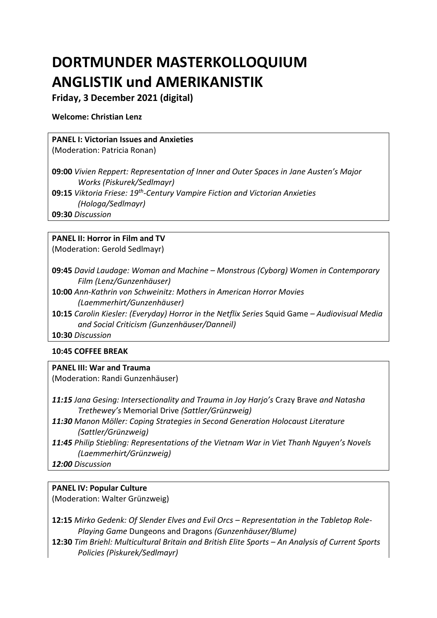# **DORTMUNDER MASTERKOLLOQUIUM ANGLISTIK und AMERIKANISTIK**

# **Friday, 3 December 2021 (digital)**

#### **Welcome: Christian Lenz**

## **PANEL I: Victorian Issues and Anxieties**

(Moderation: Patricia Ronan)

**09:00** *Vivien Reppert: Representation of Inner and Outer Spaces in Jane Austen's Major Works (Piskurek/Sedlmayr)* **09:15** *Viktoria Friese: 19th -Century Vampire Fiction and Victorian Anxieties* 

*(Hologa/Sedlmayr)*

**09:30** *Discussion*

### **PANEL II: Horror in Film and TV**

(Moderation: Gerold Sedlmayr)

- **09:45** *David Laudage: Woman and Machine – Monstrous (Cyborg) Women in Contemporary Film (Lenz/Gunzenhäuser)*
- **10:00** *Ann-Kathrin von Schweinitz: Mothers in American Horror Movies (Laemmerhirt/Gunzenhäuser)*
- **10:15** *Carolin Kiesler: (Everyday) Horror in the Netflix Series* Squid Game *– Audiovisual Media and Social Criticism (Gunzenhäuser/Danneil)*

**10:30** *Discussion*

#### **10:45 COFFEE BREAK**

#### **PANEL III: War and Trauma**

(Moderation: Randi Gunzenhäuser)

*11:15 Jana Gesing: Intersectionality and Trauma in Joy Harjo's* Crazy Brave *and Natasha Trethewey's* Memorial Drive *(Sattler/Grünzweig)*

- *11:30 Manon Möller: Coping Strategies in Second Generation Holocaust Literature (Sattler/Grünzweig)*
- *11:45 Philip Stiebling: Representations of the Vietnam War in Viet Thanh Nguyen's Novels (Laemmerhirt/Grünzweig)*
- *12:00 Discussion*

# **PANEL IV: Popular Culture**

(Moderation: Walter Grünzweig)

**12:15** *Mirko Gedenk: Of Slender Elves and Evil Orcs – Representation in the Tabletop Role-Playing Game* Dungeons and Dragons *(Gunzenhäuser/Blume)*

**12:30** *Tim Briehl: Multicultural Britain and British Elite Sports – An Analysis of Current Sports Policies (Piskurek/Sedlmayr)*